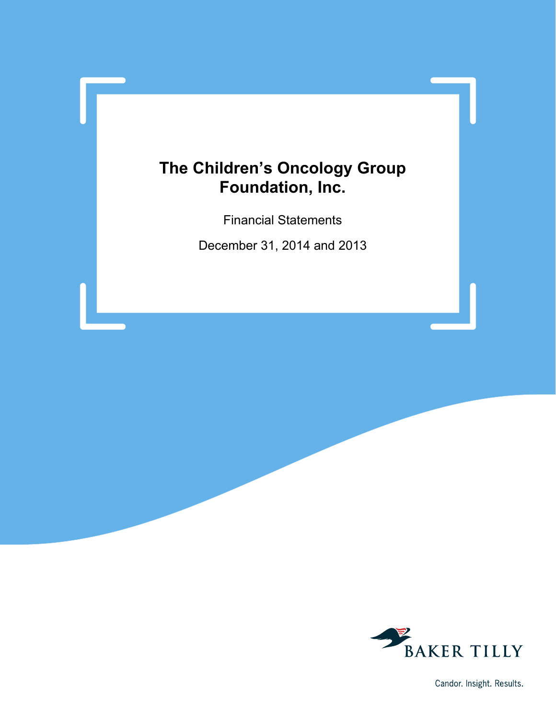Financial Statements

December 31, 2014 and 2013



Candor. Insight. Results.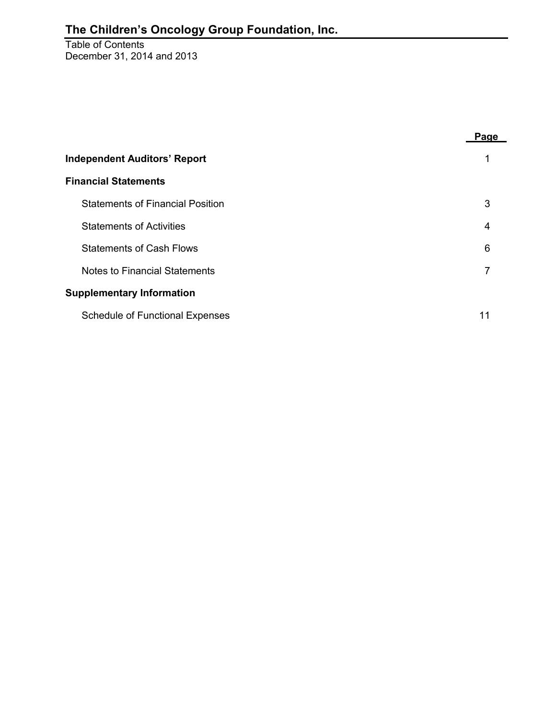Table of Contents December 31, 2014 and 2013

|                                         | Page |
|-----------------------------------------|------|
| <b>Independent Auditors' Report</b>     |      |
| <b>Financial Statements</b>             |      |
| <b>Statements of Financial Position</b> | 3    |
| <b>Statements of Activities</b>         | 4    |
| <b>Statements of Cash Flows</b>         | 6    |
| <b>Notes to Financial Statements</b>    | 7    |
| <b>Supplementary Information</b>        |      |
| <b>Schedule of Functional Expenses</b>  |      |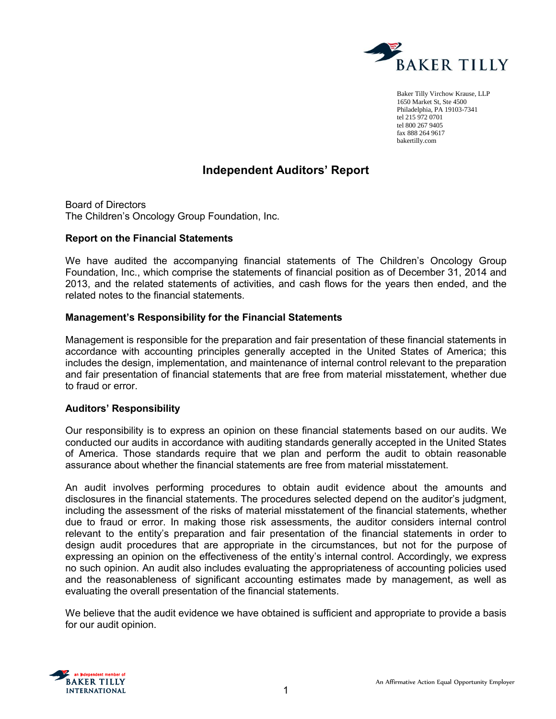

Baker Tilly Virchow Krause, LLP 1650 Market St, Ste 4500 Philadelphia, PA 19103-7341 tel 215 972 0701 tel 800 267 9405 fax 888 264 9617 bakertilly.com

#### **Independent Auditors' Report**

Board of Directors The Children's Oncology Group Foundation, Inc.

#### **Report on the Financial Statements**

We have audited the accompanying financial statements of The Children's Oncology Group Foundation, Inc., which comprise the statements of financial position as of December 31, 2014 and 2013, and the related statements of activities, and cash flows for the years then ended, and the related notes to the financial statements.

#### **Management's Responsibility for the Financial Statements**

Management is responsible for the preparation and fair presentation of these financial statements in accordance with accounting principles generally accepted in the United States of America; this includes the design, implementation, and maintenance of internal control relevant to the preparation and fair presentation of financial statements that are free from material misstatement, whether due to fraud or error.

#### **Auditors' Responsibility**

Our responsibility is to express an opinion on these financial statements based on our audits. We conducted our audits in accordance with auditing standards generally accepted in the United States of America. Those standards require that we plan and perform the audit to obtain reasonable assurance about whether the financial statements are free from material misstatement.

An audit involves performing procedures to obtain audit evidence about the amounts and disclosures in the financial statements. The procedures selected depend on the auditor's judgment, including the assessment of the risks of material misstatement of the financial statements, whether due to fraud or error. In making those risk assessments, the auditor considers internal control relevant to the entity's preparation and fair presentation of the financial statements in order to design audit procedures that are appropriate in the circumstances, but not for the purpose of expressing an opinion on the effectiveness of the entity's internal control. Accordingly, we express no such opinion. An audit also includes evaluating the appropriateness of accounting policies used and the reasonableness of significant accounting estimates made by management, as well as evaluating the overall presentation of the financial statements.

We believe that the audit evidence we have obtained is sufficient and appropriate to provide a basis for our audit opinion.

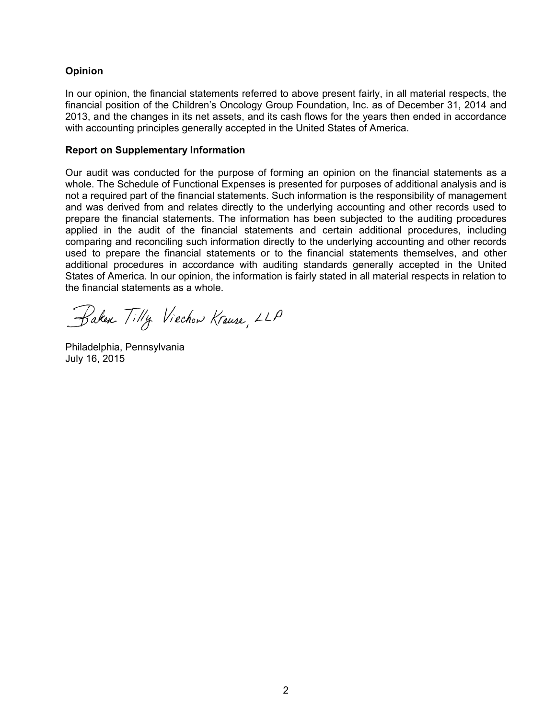#### **Opinion**

In our opinion, the financial statements referred to above present fairly, in all material respects, the financial position of the Children's Oncology Group Foundation, Inc. as of December 31, 2014 and 2013, and the changes in its net assets, and its cash flows for the years then ended in accordance with accounting principles generally accepted in the United States of America.

#### **Report on Supplementary Information**

Our audit was conducted for the purpose of forming an opinion on the financial statements as a whole. The Schedule of Functional Expenses is presented for purposes of additional analysis and is not a required part of the financial statements. Such information is the responsibility of management and was derived from and relates directly to the underlying accounting and other records used to prepare the financial statements. The information has been subjected to the auditing procedures applied in the audit of the financial statements and certain additional procedures, including comparing and reconciling such information directly to the underlying accounting and other records used to prepare the financial statements or to the financial statements themselves, and other additional procedures in accordance with auditing standards generally accepted in the United States of America. In our opinion, the information is fairly stated in all material respects in relation to the financial statements as a whole.

Baken Tilly Viechow Krause, LLP

Philadelphia, Pennsylvania July 16, 2015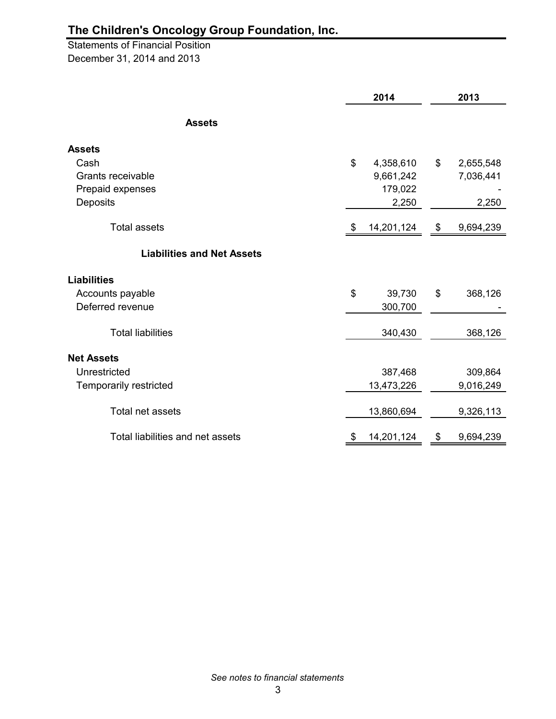Statements of Financial Position December 31, 2014 and 2013

|                                   |               | 2014       | 2013            |
|-----------------------------------|---------------|------------|-----------------|
| <b>Assets</b>                     |               |            |                 |
| <b>Assets</b>                     |               |            |                 |
| Cash                              | \$            | 4,358,610  | \$<br>2,655,548 |
| <b>Grants receivable</b>          |               | 9,661,242  | 7,036,441       |
| Prepaid expenses                  |               | 179,022    |                 |
| Deposits                          |               | 2,250      | 2,250           |
| <b>Total assets</b>               | \$            | 14,201,124 | \$<br>9,694,239 |
| <b>Liabilities and Net Assets</b> |               |            |                 |
| <b>Liabilities</b>                |               |            |                 |
| Accounts payable                  | $\mathbf{\$}$ | 39,730     | \$<br>368,126   |
| Deferred revenue                  |               | 300,700    |                 |
| <b>Total liabilities</b>          |               | 340,430    | 368,126         |
| <b>Net Assets</b>                 |               |            |                 |
| Unrestricted                      |               | 387,468    | 309,864         |
| Temporarily restricted            |               | 13,473,226 | 9,016,249       |
| Total net assets                  |               | 13,860,694 | 9,326,113       |
| Total liabilities and net assets  | \$            | 14,201,124 | \$<br>9,694,239 |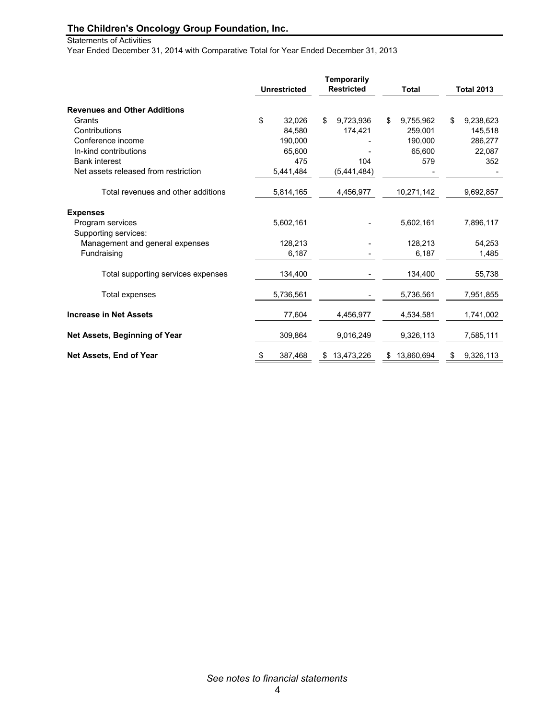Statements of Activities

Year Ended December 31, 2014 with Comparative Total for Year Ended December 31, 2013

|                                      | <b>Unrestricted</b> | <b>Temporarily</b><br><b>Restricted</b> | <b>Total</b> |            | <b>Total 2013</b> |
|--------------------------------------|---------------------|-----------------------------------------|--------------|------------|-------------------|
| <b>Revenues and Other Additions</b>  |                     |                                         |              |            |                   |
| Grants                               | \$<br>32,026        | \$<br>9,723,936                         | \$           | 9,755,962  | \$<br>9,238,623   |
| Contributions                        | 84,580              | 174,421                                 |              | 259,001    | 145,518           |
| Conference income                    | 190,000             |                                         |              | 190,000    | 286,277           |
| In-kind contributions                | 65,600              |                                         |              | 65,600     | 22,087            |
| <b>Bank interest</b>                 | 475                 | 104                                     |              | 579        | 352               |
| Net assets released from restriction | 5,441,484           | (5,441,484)                             |              |            |                   |
| Total revenues and other additions   | 5,814,165           | 4,456,977                               |              | 10,271,142 | 9,692,857         |
| <b>Expenses</b>                      |                     |                                         |              |            |                   |
| Program services                     | 5,602,161           |                                         |              | 5,602,161  | 7,896,117         |
| Supporting services:                 |                     |                                         |              |            |                   |
| Management and general expenses      | 128,213             |                                         |              | 128,213    | 54,253            |
| Fundraising                          | 6,187               |                                         |              | 6,187      | 1,485             |
| Total supporting services expenses   | 134,400             |                                         |              | 134,400    | 55,738            |
| Total expenses                       | 5,736,561           |                                         |              | 5,736,561  | 7,951,855         |
| <b>Increase in Net Assets</b>        | 77,604              | 4,456,977                               |              | 4,534,581  | 1,741,002         |
| Net Assets, Beginning of Year        | 309,864             | 9,016,249                               |              | 9,326,113  | 7,585,111         |
| <b>Net Assets, End of Year</b>       | \$<br>387,468       | \$13,473,226                            | \$           | 13,860,694 | \$<br>9,326,113   |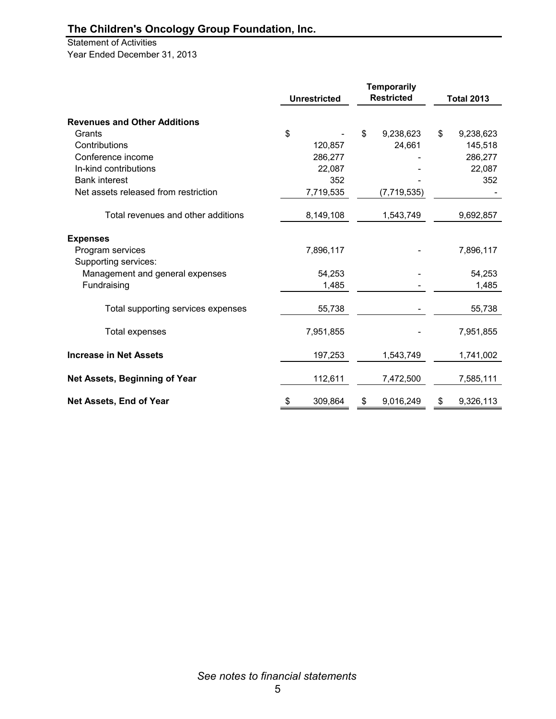Statement of Activities Year Ended December 31, 2013

|                                      | <b>Unrestricted</b> |           |    | <b>Restricted</b> | <b>Total 2013</b> |  |
|--------------------------------------|---------------------|-----------|----|-------------------|-------------------|--|
| <b>Revenues and Other Additions</b>  |                     |           |    |                   |                   |  |
| Grants                               | \$                  |           | \$ | 9,238,623         | \$<br>9,238,623   |  |
| Contributions                        |                     | 120,857   |    | 24,661            | 145,518           |  |
| Conference income                    |                     | 286,277   |    |                   | 286,277           |  |
| In-kind contributions                |                     | 22,087    |    |                   | 22,087            |  |
| <b>Bank interest</b>                 |                     | 352       |    |                   | 352               |  |
| Net assets released from restriction |                     | 7,719,535 |    | (7, 719, 535)     |                   |  |
| Total revenues and other additions   |                     | 8,149,108 |    | 1,543,749         | 9,692,857         |  |
| <b>Expenses</b>                      |                     |           |    |                   |                   |  |
| Program services                     |                     | 7,896,117 |    |                   | 7,896,117         |  |
| Supporting services:                 |                     |           |    |                   |                   |  |
| Management and general expenses      |                     | 54,253    |    |                   | 54,253            |  |
| Fundraising                          |                     | 1,485     |    |                   | 1,485             |  |
| Total supporting services expenses   |                     | 55,738    |    |                   | 55,738            |  |
| Total expenses                       |                     | 7,951,855 |    |                   | 7,951,855         |  |
| <b>Increase in Net Assets</b>        |                     | 197,253   |    | 1,543,749         | 1,741,002         |  |
| Net Assets, Beginning of Year        |                     | 112,611   |    | 7,472,500         | 7,585,111         |  |
| Net Assets, End of Year              | \$                  | 309,864   | \$ | 9,016,249         | \$<br>9,326,113   |  |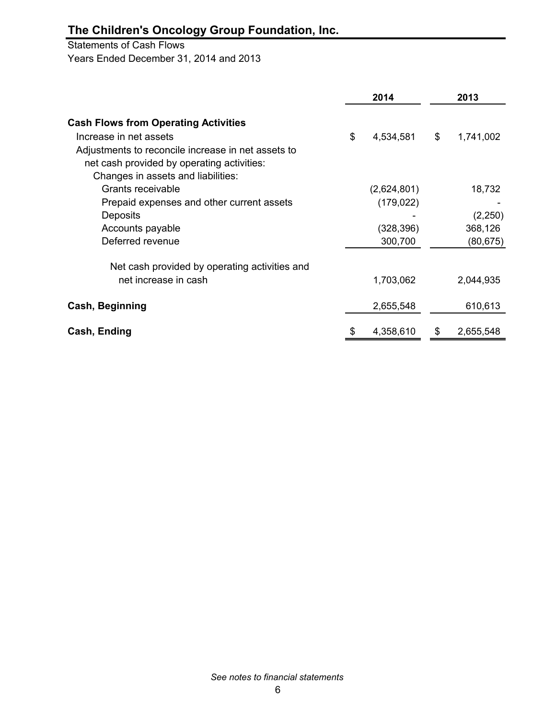# Statements of Cash Flows

Years Ended December 31, 2014 and 2013

|                                                                                                                                        | 2014 |             |    | 2013      |  |  |
|----------------------------------------------------------------------------------------------------------------------------------------|------|-------------|----|-----------|--|--|
| <b>Cash Flows from Operating Activities</b>                                                                                            |      |             |    |           |  |  |
| Increase in net assets                                                                                                                 | \$   | 4,534,581   | \$ | 1,741,002 |  |  |
| Adjustments to reconcile increase in net assets to<br>net cash provided by operating activities:<br>Changes in assets and liabilities: |      |             |    |           |  |  |
| Grants receivable                                                                                                                      |      | (2,624,801) |    | 18,732    |  |  |
| Prepaid expenses and other current assets                                                                                              |      | (179, 022)  |    |           |  |  |
| <b>Deposits</b>                                                                                                                        |      |             |    | (2,250)   |  |  |
| Accounts payable                                                                                                                       |      | (328, 396)  |    | 368,126   |  |  |
| Deferred revenue                                                                                                                       |      | 300,700     |    | (80, 675) |  |  |
| Net cash provided by operating activities and                                                                                          |      |             |    |           |  |  |
| net increase in cash                                                                                                                   |      | 1,703,062   |    | 2,044,935 |  |  |
| Cash, Beginning                                                                                                                        |      | 2,655,548   |    | 610,613   |  |  |
| Cash, Ending                                                                                                                           | \$   | 4,358,610   | \$ | 2,655,548 |  |  |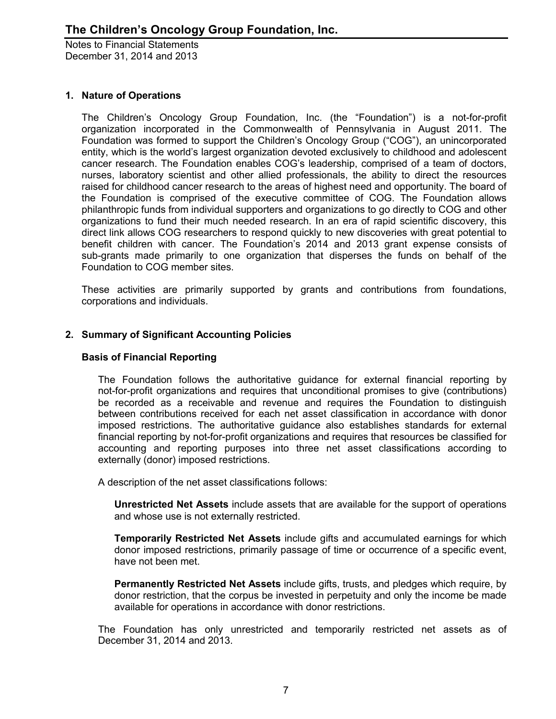#### **1. Nature of Operations**

The Children's Oncology Group Foundation, Inc. (the "Foundation") is a not-for-profit organization incorporated in the Commonwealth of Pennsylvania in August 2011. The Foundation was formed to support the Children's Oncology Group ("COG"), an unincorporated entity, which is the world's largest organization devoted exclusively to childhood and adolescent cancer research. The Foundation enables COG's leadership, comprised of a team of doctors, nurses, laboratory scientist and other allied professionals, the ability to direct the resources raised for childhood cancer research to the areas of highest need and opportunity. The board of the Foundation is comprised of the executive committee of COG. The Foundation allows philanthropic funds from individual supporters and organizations to go directly to COG and other organizations to fund their much needed research. In an era of rapid scientific discovery, this direct link allows COG researchers to respond quickly to new discoveries with great potential to benefit children with cancer. The Foundation's 2014 and 2013 grant expense consists of sub-grants made primarily to one organization that disperses the funds on behalf of the Foundation to COG member sites.

These activities are primarily supported by grants and contributions from foundations, corporations and individuals.

#### **2. Summary of Significant Accounting Policies**

#### **Basis of Financial Reporting**

The Foundation follows the authoritative guidance for external financial reporting by not-for-profit organizations and requires that unconditional promises to give (contributions) be recorded as a receivable and revenue and requires the Foundation to distinguish between contributions received for each net asset classification in accordance with donor imposed restrictions. The authoritative guidance also establishes standards for external financial reporting by not-for-profit organizations and requires that resources be classified for accounting and reporting purposes into three net asset classifications according to externally (donor) imposed restrictions.

A description of the net asset classifications follows:

**Unrestricted Net Assets** include assets that are available for the support of operations and whose use is not externally restricted.

**Temporarily Restricted Net Assets** include gifts and accumulated earnings for which donor imposed restrictions, primarily passage of time or occurrence of a specific event, have not been met.

**Permanently Restricted Net Assets** include gifts, trusts, and pledges which require, by donor restriction, that the corpus be invested in perpetuity and only the income be made available for operations in accordance with donor restrictions.

The Foundation has only unrestricted and temporarily restricted net assets as of December 31, 2014 and 2013.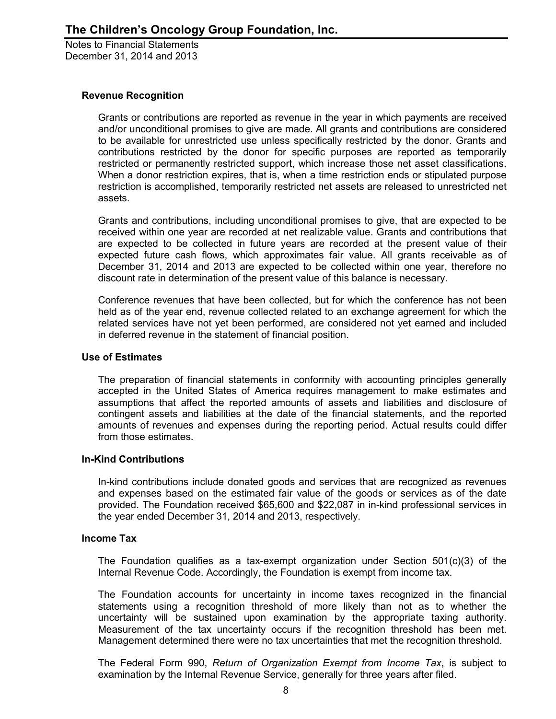#### **Revenue Recognition**

Grants or contributions are reported as revenue in the year in which payments are received and/or unconditional promises to give are made. All grants and contributions are considered to be available for unrestricted use unless specifically restricted by the donor. Grants and contributions restricted by the donor for specific purposes are reported as temporarily restricted or permanently restricted support, which increase those net asset classifications. When a donor restriction expires, that is, when a time restriction ends or stipulated purpose restriction is accomplished, temporarily restricted net assets are released to unrestricted net assets.

Grants and contributions, including unconditional promises to give, that are expected to be received within one year are recorded at net realizable value. Grants and contributions that are expected to be collected in future years are recorded at the present value of their expected future cash flows, which approximates fair value. All grants receivable as of December 31, 2014 and 2013 are expected to be collected within one year, therefore no discount rate in determination of the present value of this balance is necessary.

Conference revenues that have been collected, but for which the conference has not been held as of the year end, revenue collected related to an exchange agreement for which the related services have not yet been performed, are considered not yet earned and included in deferred revenue in the statement of financial position.

#### **Use of Estimates**

The preparation of financial statements in conformity with accounting principles generally accepted in the United States of America requires management to make estimates and assumptions that affect the reported amounts of assets and liabilities and disclosure of contingent assets and liabilities at the date of the financial statements, and the reported amounts of revenues and expenses during the reporting period. Actual results could differ from those estimates.

#### **In-Kind Contributions**

In-kind contributions include donated goods and services that are recognized as revenues and expenses based on the estimated fair value of the goods or services as of the date provided. The Foundation received \$65,600 and \$22,087 in in-kind professional services in the year ended December 31, 2014 and 2013, respectively.

#### **Income Tax**

The Foundation qualifies as a tax-exempt organization under Section 501(c)(3) of the Internal Revenue Code. Accordingly, the Foundation is exempt from income tax.

The Foundation accounts for uncertainty in income taxes recognized in the financial statements using a recognition threshold of more likely than not as to whether the uncertainty will be sustained upon examination by the appropriate taxing authority. Measurement of the tax uncertainty occurs if the recognition threshold has been met. Management determined there were no tax uncertainties that met the recognition threshold.

The Federal Form 990, *Return of Organization Exempt from Income Tax*, is subject to examination by the Internal Revenue Service, generally for three years after filed.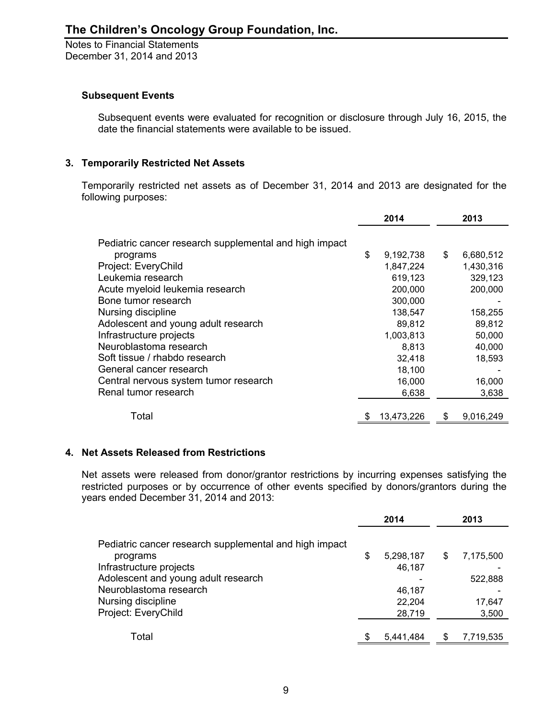#### **Subsequent Events**

Subsequent events were evaluated for recognition or disclosure through July 16, 2015, the date the financial statements were available to be issued.

#### **3. Temporarily Restricted Net Assets**

Temporarily restricted net assets as of December 31, 2014 and 2013 are designated for the following purposes:

|                                                        | 2014 |            |    | 2013      |
|--------------------------------------------------------|------|------------|----|-----------|
| Pediatric cancer research supplemental and high impact |      |            |    |           |
| programs                                               | \$   | 9,192,738  | \$ | 6,680,512 |
| Project: EveryChild                                    |      | 1.847.224  |    | 1,430,316 |
| Leukemia research                                      |      | 619,123    |    | 329,123   |
| Acute myeloid leukemia research                        |      | 200,000    |    | 200,000   |
| Bone tumor research                                    |      | 300,000    |    |           |
| Nursing discipline                                     |      | 138,547    |    | 158,255   |
| Adolescent and young adult research                    |      | 89,812     |    | 89,812    |
| Infrastructure projects                                |      | 1,003,813  |    | 50,000    |
| Neuroblastoma research                                 |      | 8.813      |    | 40,000    |
| Soft tissue / rhabdo research                          |      | 32,418     |    | 18,593    |
| General cancer research                                |      | 18,100     |    |           |
| Central nervous system tumor research                  |      | 16,000     |    | 16,000    |
| Renal tumor research                                   |      | 6,638      |    | 3,638     |
|                                                        |      |            |    |           |
| Total                                                  | \$   | 13,473,226 | \$ | 9,016,249 |

#### **4. Net Assets Released from Restrictions**

Net assets were released from donor/grantor restrictions by incurring expenses satisfying the restricted purposes or by occurrence of other events specified by donors/grantors during the years ended December 31, 2014 and 2013:

|                                                        |   | 2014                | 2013            |  |
|--------------------------------------------------------|---|---------------------|-----------------|--|
| Pediatric cancer research supplemental and high impact |   |                     |                 |  |
| programs<br>Infrastructure projects                    | S | 5,298,187<br>46,187 | \$<br>7,175,500 |  |
| Adolescent and young adult research                    |   |                     | 522,888         |  |
| Neuroblastoma research                                 |   | 46,187              |                 |  |
| Nursing discipline                                     |   | 22,204              | 17,647          |  |
| Project: EveryChild                                    |   | 28,719              | 3,500           |  |
| Total                                                  |   | 5.441.484           | 7,719,535       |  |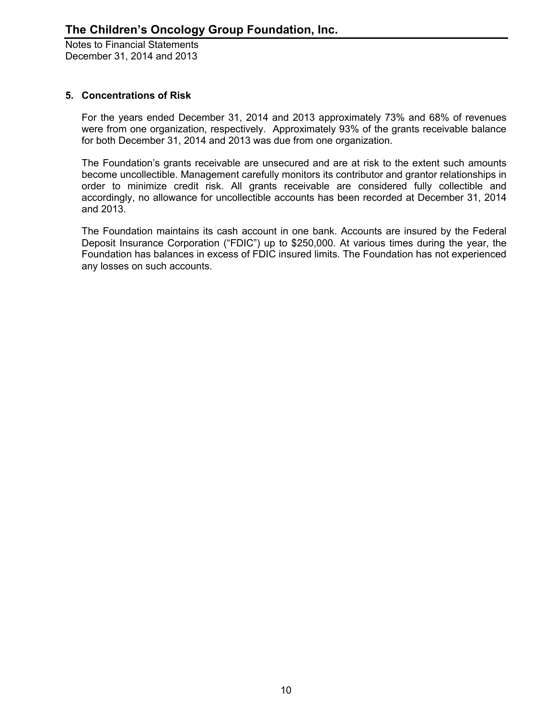#### **5. Concentrations of Risk**

For the years ended December 31, 2014 and 2013 approximately 73% and 68% of revenues were from one organization, respectively. Approximately 93% of the grants receivable balance for both December 31, 2014 and 2013 was due from one organization.

The Foundation's grants receivable are unsecured and are at risk to the extent such amounts become uncollectible. Management carefully monitors its contributor and grantor relationships in order to minimize credit risk. All grants receivable are considered fully collectible and accordingly, no allowance for uncollectible accounts has been recorded at December 31, 2014 and 2013.

The Foundation maintains its cash account in one bank. Accounts are insured by the Federal Deposit Insurance Corporation ("FDIC") up to \$250,000. At various times during the year, the Foundation has balances in excess of FDIC insured limits. The Foundation has not experienced any losses on such accounts.